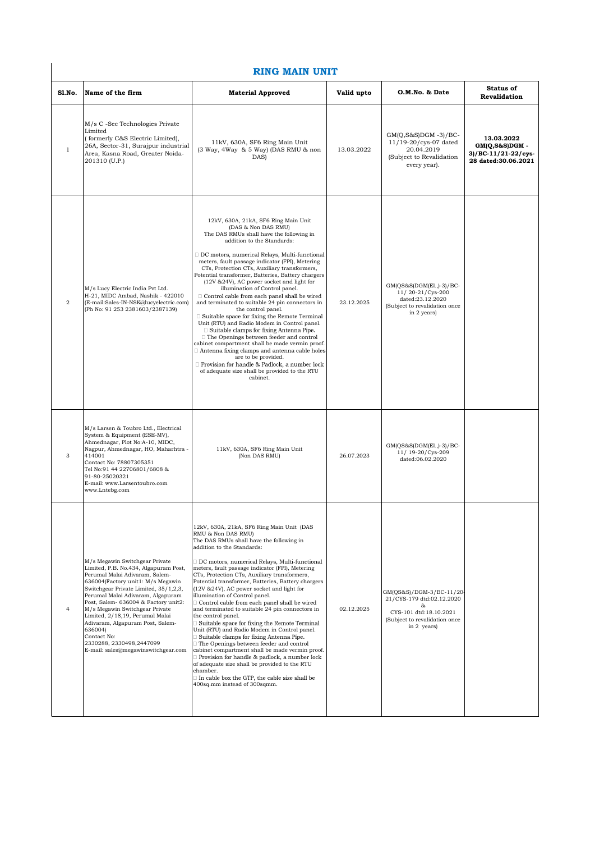## **RING MAIN UNIT**

|              | <b>RING MAIN UNIT</b>                                                                                                                                                                                                                                                                                                                                                                                                                                                       |                                                                                                                                                                                                                                                                                                                                                                                                                                                                                                                                                                                                                                                                                                                                                                                                                                                                                                                                                                                                                                    |            |                                                                                                                                       |                                                                                   |  |  |
|--------------|-----------------------------------------------------------------------------------------------------------------------------------------------------------------------------------------------------------------------------------------------------------------------------------------------------------------------------------------------------------------------------------------------------------------------------------------------------------------------------|------------------------------------------------------------------------------------------------------------------------------------------------------------------------------------------------------------------------------------------------------------------------------------------------------------------------------------------------------------------------------------------------------------------------------------------------------------------------------------------------------------------------------------------------------------------------------------------------------------------------------------------------------------------------------------------------------------------------------------------------------------------------------------------------------------------------------------------------------------------------------------------------------------------------------------------------------------------------------------------------------------------------------------|------------|---------------------------------------------------------------------------------------------------------------------------------------|-----------------------------------------------------------------------------------|--|--|
| Sl.No.       | Name of the firm                                                                                                                                                                                                                                                                                                                                                                                                                                                            | <b>Material Approved</b>                                                                                                                                                                                                                                                                                                                                                                                                                                                                                                                                                                                                                                                                                                                                                                                                                                                                                                                                                                                                           | Valid upto | O.M.No. & Date                                                                                                                        | <b>Status of</b><br><b>Revalidation</b>                                           |  |  |
| $\mathbf{1}$ | M/s C -Sec Technologies Private<br>Limited<br>(formerly C&S Electric Limited),<br>26A, Sector-31, Surajpur industrial<br>Area, Kasna Road, Greater Noida-<br>201310 (U.P.)                                                                                                                                                                                                                                                                                                  | 11kV, 630A, SF6 Ring Main Unit<br>(3 Way, 4Way & 5 Way) (DAS RMU & non<br>DAS)                                                                                                                                                                                                                                                                                                                                                                                                                                                                                                                                                                                                                                                                                                                                                                                                                                                                                                                                                     | 13.03.2022 | $GM(Q,S&S)DGM -3)/BC-$<br>11/19-20/cys-07 dated<br>20.04.2019<br>(Subject to Revalidation<br>every year).                             | 13.03.2022<br>$GM(Q,S&S)DGM$ -<br>$3)/BC - 11/21 - 22/cys$<br>28 dated:30.06.2021 |  |  |
| 2            | M/s Lucy Electric India Pvt Ltd.<br>H-21, MIDC Ambad, Nashik - 422010<br>(E-mail:Sales-IN-NSK@lucyelectric.com)<br>(Ph No: 91 253 2381603/2387139)                                                                                                                                                                                                                                                                                                                          | 12kV, 630A, 21kA, SF6 Ring Main Unit<br>(DAS & Non DAS RMU)<br>The DAS RMUs shall have the following in<br>addition to the Standards:<br>DC motors, numerical Relays, Multi-functional<br>meters, fault passage indicator (FPI), Metering<br>CTs, Protection CTs, Auxiliary transformers,<br>Potential transformer, Batteries, Battery chargers<br>(12V & 24V), AC power socket and light for<br>illumination of Control panel.<br>$\Box$ Control cable from each panel shall be wired<br>and terminated to suitable 24 pin connectors in<br>the control panel.<br>$\Box$ Suitable space for fixing the Remote Terminal<br>Unit (RTU) and Radio Modem in Control panel.<br>□ Suitable clamps for fixing Antenna Pipe.<br>$\Box$ The Openings between feeder and control<br>cabinet compartment shall be made vermin proof.<br>$\Box$ Antenna fixing clamps and antenna cable holes<br>are to be provided.<br>Provision for handle & Padlock, a number lock<br>of adequate size shall be provided to the RTU<br>cabinet.            | 23.12.2025 | GM(QS&S)DGM(El.,)-3)/BC-<br>11/20-21/Cys-200<br>dated:23.12.2020<br>(Subject to revalidation once<br>in 2 years)                      |                                                                                   |  |  |
| 3            | M/s Larsen & Toubro Ltd., Electrical<br>System & Equipment (ESE-MV),<br>Ahmednagar, Plot No:A-10, MIDC,<br>Nagpur, Ahmednagar, HO, Maharhtra -<br>414001<br>Contact No: 78807305351<br>Tel No:91 44 22706801/6808 &<br>91-80-25020321<br>E-mail: www.Larsentoubro.com<br>www.Lntebg.com                                                                                                                                                                                     | 11kV, 630A, SF6 Ring Main Unit<br>(Non DAS RMU)                                                                                                                                                                                                                                                                                                                                                                                                                                                                                                                                                                                                                                                                                                                                                                                                                                                                                                                                                                                    | 26.07.2023 | GM(QS&S)DGM(El.,)-3)/BC-<br>11/19-20/Cys-209<br>dated:06.02.2020                                                                      |                                                                                   |  |  |
| 4            | M/s Megawin Switchgear Private<br>Limited, P.B. No.434, Algapuram Post,<br>Perumal Malai Adivaram, Salem-<br>636004(Factory unit1: M/s Megawin<br>Switchgear Private Limited, 35/1,2,3,<br>Perumal Malai Adivaram, Algapuram<br>Post, Salem- 636004 & Factory unit2:<br>M/s Megawin Switchgear Private<br>Limited, 2/18,19, Perumal Malai<br>Adivaram, Algapuram Post, Salem-<br>636004)<br>Contact No:<br>2330288, 2330498, 2447099<br>E-mail: sales@megawinswitchgear.com | 12kV, 630A, 21kA, SF6 Ring Main Unit (DAS<br>RMU & Non DAS RMU)<br>The DAS RMUs shall have the following in<br>addition to the Standards:<br>$\Box$ DC motors, numerical Relays, Multi-functional<br>meters, fault passage indicator (FPI), Metering<br>CTs, Protection CTs, Auxiliary transformers,<br>Potential transformer, Batteries, Battery chargers<br>(12V & 24V), AC power socket and light for<br>illumination of Control panel.<br>□ Control cable from each panel shall be wired<br>and terminated to suitable 24 pin connectors in<br>the control panel.<br>$\Box$ Suitable space for fixing the Remote Terminal<br>Unit (RTU) and Radio Modem in Control panel.<br>$\exists$ Suitable clamps for fixing Antenna Pipe.<br>The Openings between feeder and control<br>cabinet compartment shall be made vermin proof.<br>Provision for handle & padlock, a number lock<br>of adequate size shall be provided to the RTU<br>chamber.<br>□ In cable box the GTP, the cable size shall be<br>400sq.mm instead of 300sqmm. | 02.12.2025 | GM(QS&S)/DGM-3/BC-11/20<br>21/CYS-179 dtd:02.12.2020<br>δг.<br>CYS-101 dtd:18.10.2021<br>(Subject to revalidation once<br>in 2 years) |                                                                                   |  |  |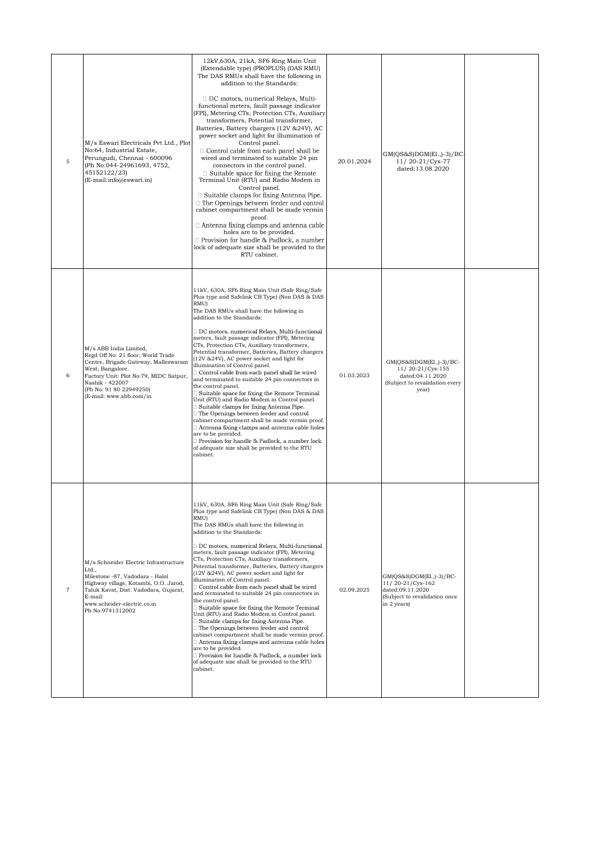| 5              | M/s Eswari Electricals Pvt Ltd., Plot<br>No:64, Industrial Estate,<br>Perungudi, Chennai - 600096<br>(Ph No:044-24961693, 4752,<br>45152122/23)<br>(E-mail:info@eswari.in)                                                                  | 12kV,630A, 21kA, SF6 Ring Main Unit<br>(Extendable type) (PROPLUS) (DAS RMU)<br>The DAS RMUs shall have the following in<br>addition to the Standards:<br>$\Box$ DC motors, numerical Relays, Multi-<br>functional meters, fault passage indicator<br>(FPI), Metering CTs, Protection CTs, Auxiliary<br>transformers, Potential transformer,<br>Batteries, Battery chargers (12V & 24V), AC<br>power socket and light for illumination of<br>Control panel.<br>$\Box$ Control cable from each panel shall be<br>wired and terminated to suitable 24 pin<br>connectors in the control panel.<br>$\Box$ Suitable space for fixing the Remote<br>Terminal Unit (RTU) and Radio Modem in<br>Control panel.<br>$\Box$ Suitable clamps for fixing Antenna Pipe.<br>$\Box$ The Openings between feeder and control<br>cabinet compartment shall be made vermin<br>proof.<br>$\Box$ Antenna fixing clamps and antenna cable<br>holes are to be provided.<br>$\Box$ Provision for handle & Padlock, a number<br>lock of adequate size shall be provided to the<br>RTU cabinet. | 20.01.2024 | GM(QS&S)DGM(E1.,)-3)/BC-<br>11/20-21/Cys-77<br>dated:13.08.2020                                                  |  |
|----------------|---------------------------------------------------------------------------------------------------------------------------------------------------------------------------------------------------------------------------------------------|-----------------------------------------------------------------------------------------------------------------------------------------------------------------------------------------------------------------------------------------------------------------------------------------------------------------------------------------------------------------------------------------------------------------------------------------------------------------------------------------------------------------------------------------------------------------------------------------------------------------------------------------------------------------------------------------------------------------------------------------------------------------------------------------------------------------------------------------------------------------------------------------------------------------------------------------------------------------------------------------------------------------------------------------------------------------------|------------|------------------------------------------------------------------------------------------------------------------|--|
| 6              | M/s ABB India Limited,<br>Regd Off No: 21 floor, World Trade<br>Centre, Brigade Gateway, Malleswaram<br>West, Bangalore.<br>Factory Unit: Plot No:79, MIDC Satpur,<br>Nashik - 422007<br>(Ph No: 91 80 22949250)<br>(E-mail: www.abb.com/in | 11kV, 630A, SF6 Ring Main Unit (Safe Ring/Safe<br>Plus type and Safelink CB Type) (Non DAS & DAS<br>RMU)<br>The DAS RMUs shall have the following in<br>addition to the Standards:<br>DC motors, numerical Relays, Multi-functional<br>meters, fault passage indicator (FPI), Metering<br>CTs, Protection CTs, Auxiliary transformers,<br>Potential transformer, Batteries, Battery chargers<br>(12V &24V), AC power socket and light for<br>illumination of Control panel.<br>$\Box$ Control cable from each panel shall be wired<br>and terminated to suitable 24 pin connectors in<br>the control panel.<br>□ Suitable space for fixing the Remote Terminal<br>Unit (RTU) and Radio Modem in Control panel.<br>□ Suitable clamps for fixing Antenna Pipe.<br>□ The Openings between feeder and control<br>cabinet compartment shall be made vermin proof.<br>□ Antenna fixing clamps and antenna cable holes<br>are to be provided.<br>Provision for handle & Padlock, a number lock<br>of adequate size shall be provided to the RTU<br>cabinet.                  | 01.03.2023 | GM(QS&S)DGM(El.,)-3)/BC-<br>11/20-21/Cys-155<br>dated:04.11.2020<br>(Subject to revalidation every<br>year)      |  |
| $\overline{7}$ | M/s Schneider Electric Infrastructure<br>Ltd.,<br>Milestone -87, Vadodara - Halol<br>Highway village, Kotambi, O.O. Jarod,<br>Taluk Kavat, Dist. Vadodara, Gujarat,<br>E-mail:<br>www.scheider-electric.co.in<br>Ph No:9741312002           | 11kV, 630A, SF6 Ring Main Unit (Safe Ring/Safe<br>Plus type and Safelink CB Type) (Non DAS & DAS<br>RMU)<br>The DAS RMUs shall have the following in<br>addition to the Standards:<br>□ DC motors, numerical Relays, Multi-functional<br>meters, fault passage indicator (FPI), Metering<br>CTs, Protection CTs, Auxiliary transformers,<br>Potential transformer, Batteries, Battery chargers<br>(12V &24V), AC power socket and light for<br>illumination of Control panel.<br>Control cable from each panel shall be wired<br>and terminated to suitable 24 pin connectors in<br>the control panel.<br>□ Suitable space for fixing the Remote Terminal<br>Unit (RTU) and Radio Modem in Control panel.<br>□ Suitable clamps for fixing Antenna Pipe.<br>The Openings between feeder and control<br>cabinet compartment shall be made vermin proof.<br>□ Antenna fixing clamps and antenna cable holes<br>are to be provided.<br>Provision for handle & Padlock, a number lock<br>of adequate size shall be provided to the RTU<br>cabinet.                         | 02.09.2025 | GM(QS&S)DGM(El.,)-3)/BC-<br>11/20-21/Cys-162<br>dated:09.11.2020<br>(Subject to revalidation once<br>in 2 years) |  |